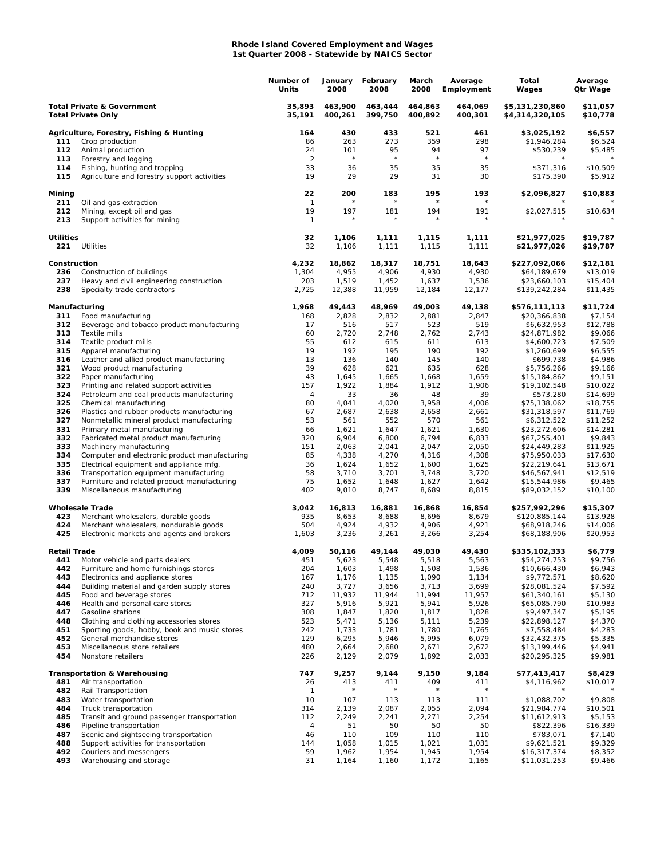## **Rhode Island Covered Employment and Wages 1st Quarter 2008 - Statewide by NAICS Sector**

|                                                                    |                                                                               | Number of<br>Units | January<br>2008    | February<br>2008   | March<br>2008      | Average<br>Employment | Total<br>Wages                     | Average<br>Qtr Wage  |
|--------------------------------------------------------------------|-------------------------------------------------------------------------------|--------------------|--------------------|--------------------|--------------------|-----------------------|------------------------------------|----------------------|
| <b>Total Private &amp; Government</b><br><b>Total Private Only</b> |                                                                               | 35,893<br>35,191   | 463,900<br>400,261 | 463,444<br>399,750 | 464,863<br>400,892 | 464,069<br>400,301    | \$5,131,230,860<br>\$4,314,320,105 | \$11,057<br>\$10,778 |
|                                                                    | Agriculture, Forestry, Fishing & Hunting                                      | 164                | 430                | 433                | 521                | 461                   | \$3,025,192                        | \$6,557              |
| 111                                                                | Crop production                                                               | 86                 | 263                | 273                | 359                | 298                   | \$1,946,284                        | \$6,524              |
| 112                                                                | Animal production                                                             | 24                 | 101                | 95<br>$\star$      | 94                 | 97<br>$\star$         | \$530,239                          | \$5,485              |
| 113                                                                | Forestry and logging                                                          | $\overline{2}$     | $\star$            |                    | $\star$            |                       |                                    |                      |
| 114<br>115                                                         | Fishing, hunting and trapping<br>Agriculture and forestry support activities  | 33<br>19           | 36<br>29           | 35<br>29           | 35<br>31           | 35<br>30              | \$371,316<br>\$175,390             | \$10,509<br>\$5,912  |
| Mining                                                             |                                                                               | 22                 | 200                | 183                | 195                | 193                   | \$2,096,827                        | \$10,883             |
| 211                                                                | Oil and gas extraction                                                        | $\mathbf{1}$       |                    |                    |                    |                       |                                    |                      |
| 212<br>213                                                         | Mining, except oil and gas<br>Support activities for mining                   | 19<br>$\mathbf{1}$ | 197<br>$\star$     | 181<br>$\star$     | 194<br>$^{\star}$  | 191<br>$\star$        | \$2,027,515                        | \$10,634             |
| <b>Utilities</b><br>221                                            | Utilities                                                                     | 32<br>32           | 1,106<br>1,106     | 1,111<br>1,111     | 1,115<br>1,115     | 1,111<br>1,111        | \$21,977,025<br>\$21,977,026       | \$19,787<br>\$19,787 |
| Construction                                                       |                                                                               |                    |                    |                    |                    |                       |                                    |                      |
| 236                                                                | Construction of buildings                                                     | 4,232<br>1,304     | 18,862<br>4,955    | 18,317<br>4,906    | 18,751<br>4,930    | 18,643<br>4,930       | \$227,092,066<br>\$64,189,679      | \$12,181<br>\$13,019 |
| 237                                                                | Heavy and civil engineering construction                                      | 203                | 1,519              | 1,452              | 1,637              | 1,536                 | \$23,660,103                       | \$15,404             |
| 238                                                                | Specialty trade contractors                                                   | 2,725              | 12,388             | 11,959             | 12,184             | 12,177                | \$139,242,284                      | \$11,435             |
| Manufacturing                                                      |                                                                               | 1,968              | 49,443             | 48,969             | 49,003             | 49,138                | \$576,111,113                      | \$11,724             |
| 311                                                                | Food manufacturing                                                            | 168                | 2,828              | 2,832              | 2,881              | 2,847                 | \$20,366,838                       | \$7,154              |
| 312                                                                | Beverage and tobacco product manufacturing<br>Textile mills                   | 17                 | 516                | 517                | 523                | 519                   | \$6,632,953                        | \$12,788             |
| 313<br>314                                                         | Textile product mills                                                         | 60<br>55           | 2,720<br>612       | 2,748<br>615       | 2,762<br>611       | 2,743<br>613          | \$24,871,982<br>\$4,600,723        | \$9,066<br>\$7,509   |
| 315                                                                | Apparel manufacturing                                                         | 19                 | 192                | 195                | 190                | 192                   | \$1,260,699                        | \$6,555              |
| 316                                                                | Leather and allied product manufacturing                                      | 13                 | 136                | 140                | 145                | 140                   | \$699,738                          | \$4,986              |
| 321                                                                | Wood product manufacturing                                                    | 39                 | 628                | 621                | 635                | 628                   | \$5,756,266                        | \$9,166              |
| 322                                                                | Paper manufacturing                                                           | 43                 | 1,645              | 1,665              | 1,668              | 1,659                 | \$15,184,862                       | \$9,151              |
| 323                                                                | Printing and related support activities                                       | 157                | 1,922              | 1,884              | 1,912              | 1,906                 | \$19,102,548                       | \$10,022             |
| 324                                                                | Petroleum and coal products manufacturing                                     | 4                  | 33                 | 36                 | 48                 | 39                    | \$573,280                          | \$14,699             |
| 325                                                                | Chemical manufacturing                                                        | 80                 | 4,041              | 4,020              | 3,958              | 4,006                 | \$75,138,062                       | \$18,755             |
| 326                                                                | Plastics and rubber products manufacturing                                    | 67                 | 2,687              | 2,638              | 2,658              | 2,661                 | \$31,318,597                       | \$11,769             |
| 327<br>331                                                         | Nonmetallic mineral product manufacturing                                     | 53                 | 561<br>1,621       | 552<br>1,647       | 570                | 561<br>1,630          | \$6,312,522<br>\$23,272,606        | \$11,252<br>\$14,281 |
| 332                                                                | Primary metal manufacturing<br>Fabricated metal product manufacturing         | 66<br>320          | 6,904              | 6,800              | 1,621<br>6,794     | 6,833                 | \$67,255,401                       | \$9,843              |
| 333                                                                | Machinery manufacturing                                                       | 151                | 2,063              | 2,041              | 2,047              | 2,050                 | \$24,449,283                       | \$11,925             |
| 334                                                                | Computer and electronic product manufacturing                                 | 85                 | 4,338              | 4,270              | 4,316              | 4,308                 | \$75,950,033                       | \$17,630             |
| 335                                                                | Electrical equipment and appliance mfg.                                       | 36                 | 1,624              | 1,652              | 1,600              | 1,625                 | \$22,219,641                       | \$13,671             |
| 336                                                                | Transportation equipment manufacturing                                        | 58                 | 3,710              | 3,701              | 3,748              | 3,720                 | \$46,567,941                       | \$12,519             |
| 337<br>339                                                         | Furniture and related product manufacturing<br>Miscellaneous manufacturing    | 75<br>402          | 1,652<br>9,010     | 1,648<br>8,747     | 1,627<br>8,689     | 1,642<br>8,815        | \$15,544,986<br>\$89,032,152       | \$9,465<br>\$10,100  |
|                                                                    |                                                                               |                    |                    |                    |                    |                       |                                    |                      |
|                                                                    | <b>Wholesale Trade</b>                                                        | 3,042              | 16,813             | 16,881             | 16,868             | 16,854                | \$257,992,296                      | \$15,307             |
| 423<br>424                                                         | Merchant wholesalers, durable goods<br>Merchant wholesalers, nondurable goods | 935<br>504         | 8,653<br>4,924     | 8,688<br>4,932     | 8,696<br>4,906     | 8,679<br>4,921        | \$120,885,144<br>\$68,918,246      | \$13,928<br>\$14,006 |
| 425                                                                | Electronic markets and agents and brokers                                     | 1,603              | 3,236              | 3,261              | 3,266              | 3,254                 | \$68,188,906                       | \$20,953             |
| <b>Retail Trade</b>                                                |                                                                               | 4,009              | 50,116             | 49,144             | 49,030             | 49,430                | \$335,102,333                      | \$6,779              |
| 441                                                                | Motor vehicle and parts dealers                                               | 451                | 5,623              | 5,548              | 5,518              | 5,563                 | \$54,274,753                       | \$9,756              |
| 442                                                                | Furniture and home furnishings stores                                         | 204                | 1,603              | 1,498              | 1,508              | 1,536                 | \$10,666,430                       | \$6,943              |
| 443                                                                | Electronics and appliance stores                                              | 167                | 1,176              | 1,135              | 1,090              | 1,134                 | \$9,772,571                        | \$8,620              |
| 444                                                                | Building material and garden supply stores                                    | 240                | 3,727              | 3,656              | 3,713              | 3,699                 | \$28,081,524                       | \$7,592              |
| 445<br>446                                                         | Food and beverage stores<br>Health and personal care stores                   | 712<br>327         | 11,932<br>5,916    | 11,944<br>5,921    | 11,994<br>5,941    | 11,957<br>5,926       | \$61,340,161<br>\$65,085,790       | \$5,130<br>\$10,983  |
| 447                                                                | Gasoline stations                                                             | 308                | 1,847              | 1,820              | 1,817              | 1,828                 | \$9,497,347                        | \$5,195              |
| 448                                                                | Clothing and clothing accessories stores                                      | 523                | 5,471              | 5,136              | 5,111              | 5,239                 | \$22,898,127                       | \$4,370              |
| 451                                                                | Sporting goods, hobby, book and music stores                                  | 242                | 1,733              | 1,781              | 1,780              | 1,765                 | \$7,558,484                        | \$4,283              |
| 452                                                                | General merchandise stores                                                    | 129                | 6,295              | 5,946              | 5,995              | 6,079                 | \$32,432,375                       | \$5,335              |
| 453                                                                | Miscellaneous store retailers                                                 | 480                | 2,664              | 2,680              | 2,671              | 2,672                 | \$13,199,446                       | \$4,941              |
| 454                                                                | Nonstore retailers                                                            | 226                | 2,129              | 2,079              | 1,892              | 2,033                 | \$20,295,325                       | \$9,981              |
| 481                                                                | <b>Transportation &amp; Warehousing</b><br>Air transportation                 | 747<br>26          | 9,257<br>413       | 9,144<br>411       | 9,150<br>409       | 9,184<br>411          | \$77,413,417<br>\$4,116,962        | \$8,429              |
| 482                                                                | Rail Transportation                                                           | 1                  |                    | $\star$            |                    |                       |                                    | \$10,017             |
| 483                                                                | Water transportation                                                          | 10                 | 107                | 113                | 113                | 111                   | \$1,088,702                        | \$9,808              |
| 484                                                                | Truck transportation                                                          | 314                | 2,139              | 2,087              | 2,055              | 2,094                 | \$21,984,774                       | \$10,501             |
| 485                                                                | Transit and ground passenger transportation                                   | 112                | 2,249              | 2,241              | 2,271              | 2,254                 | \$11,612,913                       | \$5,153              |
| 486                                                                | Pipeline transportation                                                       | 4                  | 51                 | 50                 | 50                 | 50                    | \$822,396                          | \$16,339             |
| 487                                                                | Scenic and sightseeing transportation                                         | 46                 | 110                | 109                | 110                | 110                   | \$783,071                          | \$7,140              |
| 488                                                                | Support activities for transportation                                         | 144                | 1,058              | 1,015              | 1,021              | 1,031                 | \$9,621,521                        | \$9,329              |
| 492<br>493                                                         | Couriers and messengers<br>Warehousing and storage                            | 59<br>31           | 1,962<br>1,164     | 1,954              | 1,945              | 1,954                 | \$16,317,374                       | \$8,352<br>\$9,466   |
|                                                                    |                                                                               |                    |                    | 1,160              | 1,172              | 1,165                 | \$11,031,253                       |                      |